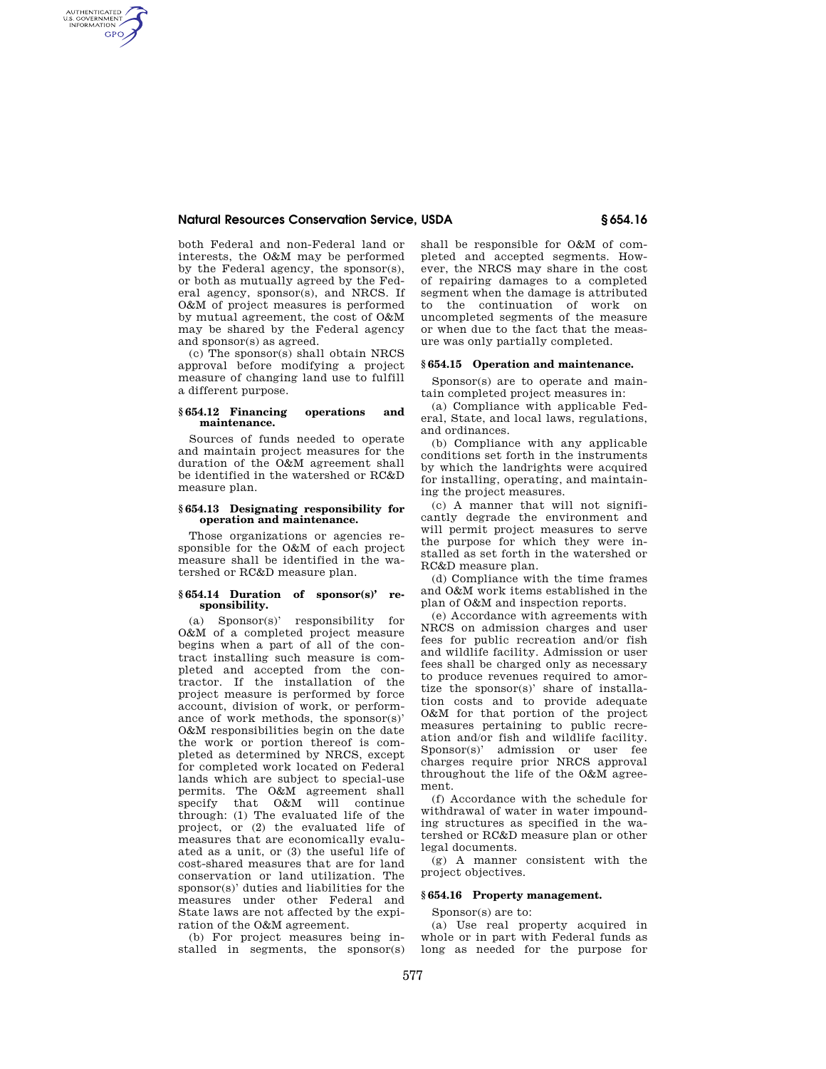# **Natural Resources Conservation Service, USDA § 654.16**

both Federal and non-Federal land or interests, the O&M may be performed by the Federal agency, the sponsor(s), or both as mutually agreed by the Federal agency, sponsor(s), and NRCS. If O&M of project measures is performed by mutual agreement, the cost of O&M may be shared by the Federal agency and sponsor(s) as agreed.

AUTHENTICATED<br>U.S. GOVERNMENT<br>INFORMATION **GPO** 

> (c) The sponsor(s) shall obtain NRCS approval before modifying a project measure of changing land use to fulfill a different purpose.

### **§ 654.12 Financing operations and maintenance.**

Sources of funds needed to operate and maintain project measures for the duration of the O&M agreement shall be identified in the watershed or RC&D measure plan.

### **§ 654.13 Designating responsibility for operation and maintenance.**

Those organizations or agencies responsible for the O&M of each project measure shall be identified in the watershed or RC&D measure plan.

### **§ 654.14 Duration of sponsor(s)' responsibility.**

(a) Sponsor(s)' responsibility for O&M of a completed project measure begins when a part of all of the contract installing such measure is completed and accepted from the contractor. If the installation of the project measure is performed by force account, division of work, or performance of work methods, the sponsor(s)' O&M responsibilities begin on the date the work or portion thereof is completed as determined by NRCS, except for completed work located on Federal lands which are subject to special-use permits. The O&M agreement shall specify that  $0&M$  will continue through: (1) The evaluated life of the project, or (2) the evaluated life of measures that are economically evaluated as a unit, or (3) the useful life of cost-shared measures that are for land conservation or land utilization. The sponsor(s)' duties and liabilities for the measures under other Federal and State laws are not affected by the expiration of the O&M agreement.

(b) For project measures being installed in segments, the sponsor(s) shall be responsible for O&M of completed and accepted segments. However, the NRCS may share in the cost of repairing damages to a completed segment when the damage is attributed to the continuation of work on uncompleted segments of the measure or when due to the fact that the measure was only partially completed.

## **§ 654.15 Operation and maintenance.**

Sponsor(s) are to operate and maintain completed project measures in:

(a) Compliance with applicable Federal, State, and local laws, regulations, and ordinances.

(b) Compliance with any applicable conditions set forth in the instruments by which the landrights were acquired for installing, operating, and maintaining the project measures.

(c) A manner that will not significantly degrade the environment and will permit project measures to serve the purpose for which they were installed as set forth in the watershed or RC&D measure plan.

(d) Compliance with the time frames and O&M work items established in the plan of O&M and inspection reports.

(e) Accordance with agreements with NRCS on admission charges and user fees for public recreation and/or fish and wildlife facility. Admission or user fees shall be charged only as necessary to produce revenues required to amortize the sponsor(s)' share of installation costs and to provide adequate O&M for that portion of the project measures pertaining to public recreation and/or fish and wildlife facility. Sponsor(s)' admission or user fee charges require prior NRCS approval throughout the life of the O&M agreement.

(f) Accordance with the schedule for withdrawal of water in water impounding structures as specified in the watershed or RC&D measure plan or other legal documents.

(g) A manner consistent with the project objectives.

# **§ 654.16 Property management.**

Sponsor(s) are to:

(a) Use real property acquired in whole or in part with Federal funds as long as needed for the purpose for